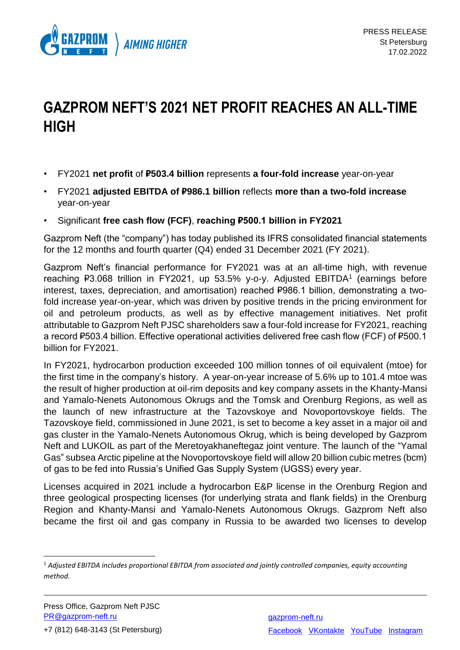

## **GAZPROM NEFT'S 2021 NET PROFIT REACHES AN ALL-TIME HIGH**

- FY2021 **net profit** of **₽503.4 billion** represents **a four-fold increase** year-on-year
- FY2021 **adjusted EBITDA of ₽986.1 billion** reflects **more than a two-fold increase** year-on-year
- Significant **free cash flow (FCF)**, **reaching ₽500.1 billion in FY2021**

Gazprom Neft (the "сompany") has today published its IFRS consolidated financial statements for the 12 months and fourth quarter (Q4) ended 31 December 2021 (FY 2021).

Gazprom Neft's financial performance for FY2021 was at an all-time high, with revenue reaching P3.068 trillion in FY2021, up 53.5% y-o-y. Adjusted EBITDA<sup>1</sup> (earnings before interest, taxes, depreciation, and amortisation) reached ₽986.1 billion, demonstrating a twofold increase year-on-year, which was driven by positive trends in the pricing environment for oil and petroleum products, as well as by effective management initiatives. Net profit attributable to Gazprom Neft PJSC shareholders saw a four-fold increase for FY2021, reaching a record ₽503.4 billion. Effective operational activities delivered free cash flow (FCF) of ₽500.1 billion for FY2021.

In FY2021, hydrocarbon production exceeded 100 million tonnes of oil equivalent (mtoe) for the first time in the сompany's history. A year-on-year increase of 5.6% up to 101.4 mtoe was the result of higher production at oil-rim deposits and key company assets in the Khanty-Mansi and Yamalo-Nenets Autonomous Okrugs and the Tomsk and Orenburg Regions, as well as the launch of new infrastructure at the Tazovskoye and Novoportovskoye fields. The Tazovskoye field, commissioned in June 2021, is set to become a key asset in a major oil and gas cluster in the Yamalo-Nenets Autonomous Okrug, which is being developed by Gazprom Neft and LUKOIL as part of the Meretoyakhaneftegaz joint venture. The launch of the "Yamal Gas" subsea Arctic pipeline at the Novoportovskoye field will allow 20 billion cubic metres (bcm) of gas to be fed into Russia's Unified Gas Supply System (UGSS) every year.

Licenses acquired in 2021 include a hydrocarbon E&P license in the Orenburg Region and three geological prospecting licenses (for underlying strata and flank fields) in the Orenburg Region and Khanty-Mansi and Yamalo-Nenets Autonomous Okrugs. Gazprom Neft also became the first oil and gas company in Russia to be awarded two licenses to develop

1

<sup>1</sup> *Adjusted EBITDA includes proportional EBITDA from associated and jointly controlled companies, equity accounting method.*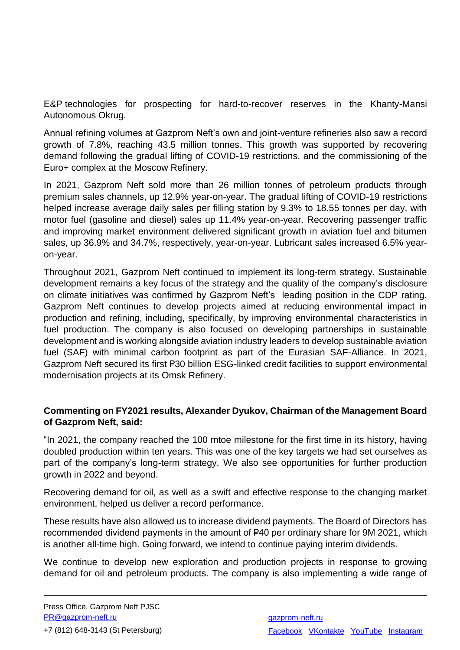E&P technologies for prospecting for hard-to-recover reserves in the Khanty-Mansi Autonomous Okrug.

Annual refining volumes at Gazprom Neft's own and joint-venture refineries also saw a record growth of 7.8%, reaching 43.5 million tonnes. This growth was supported by recovering demand following the gradual lifting of COVID-19 restrictions, and the commissioning of the Euro+ complex at the Moscow Refinery.

In 2021, Gazprom Neft sold more than 26 million tonnes of petroleum products through premium sales channels, up 12.9% year-on-year. The gradual lifting of COVID-19 restrictions helped increase average daily sales per filling station by 9.3% to 18.55 tonnes per day, with motor fuel (gasoline and diesel) sales up 11.4% year-on-year. Recovering passenger traffic and improving market environment delivered significant growth in aviation fuel and bitumen sales, up 36.9% and 34.7%, respectively, year-on-year. Lubricant sales increased 6.5% yearon-year.

Throughout 2021, Gazprom Neft continued to implement its long-term strategy. Sustainable development remains a key focus of the strategy and the quality of the company's disclosure on climate initiatives was confirmed by Gazprom Neft's leading position in the CDP rating. Gazprom Neft continues to develop projects aimed at reducing environmental impact in production and refining, including, specifically, by improving environmental characteristics in fuel production. The company is also focused on developing partnerships in sustainable development and is working alongside aviation industry leaders to develop sustainable aviation fuel (SAF) with minimal carbon footprint as part of the Eurasian SAF-Alliance. In 2021, Gazprom Neft secured its first ₽30 billion ESG-linked credit facilities to support environmental modernisation projects at its Omsk Refinery.

## **Commenting on FY2021 results, Alexander Dyukov, Chairman of the Management Board of Gazprom Neft, said:**

"In 2021, the company reached the 100 mtoe milestone for the first time in its history, having doubled production within ten years. This was one of the key targets we had set ourselves as part of the company's long-term strategy. We also see opportunities for further production growth in 2022 and beyond.

Recovering demand for oil, as well as a swift and effective response to the changing market environment, helped us deliver a record performance.

These results have also allowed us to increase dividend payments. The Board of Directors has recommended dividend payments in the amount of ₽40 per ordinary share for 9M 2021, which is another all-time high. Going forward, we intend to continue paying interim dividends.

We continue to develop new exploration and production projects in response to growing demand for oil and petroleum products. The company is also implementing a wide range of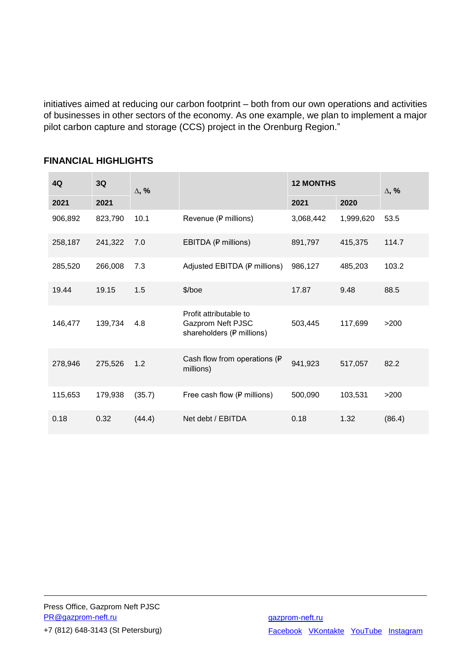initiatives aimed at reducing our carbon footprint – both from our own operations and activities of businesses in other sectors of the economy. As one example, we plan to implement a major pilot carbon capture and storage (CCS) project in the Orenburg Region."

| 4Q      | 3Q      | $\Delta$ , % |                                                                          | <b>12 MONTHS</b> |           | $\Delta$ , % |
|---------|---------|--------------|--------------------------------------------------------------------------|------------------|-----------|--------------|
| 2021    | 2021    |              |                                                                          | 2021             | 2020      |              |
| 906,892 | 823,790 | 10.1         | Revenue (P millions)                                                     | 3,068,442        | 1,999,620 | 53.5         |
| 258,187 | 241,322 | 7.0          | EBITDA (P millions)                                                      | 891,797          | 415,375   | 114.7        |
| 285,520 | 266,008 | 7.3          | Adjusted EBITDA (P millions)                                             | 986,127          | 485,203   | 103.2        |
| 19.44   | 19.15   | 1.5          | $$/$ boe                                                                 | 17.87            | 9.48      | 88.5         |
| 146,477 | 139,734 | 4.8          | Profit attributable to<br>Gazprom Neft PJSC<br>shareholders (P millions) | 503,445          | 117,699   | >200         |
| 278,946 | 275,526 | 1.2          | Cash flow from operations (P<br>millions)                                | 941,923          | 517,057   | 82.2         |
| 115,653 | 179,938 | (35.7)       | Free cash flow (P millions)                                              | 500,090          | 103,531   | >200         |
| 0.18    | 0.32    | (44.4)       | Net debt / EBITDA                                                        | 0.18             | 1.32      | (86.4)       |

## **FINANCIAL HIGHLIGHTS**